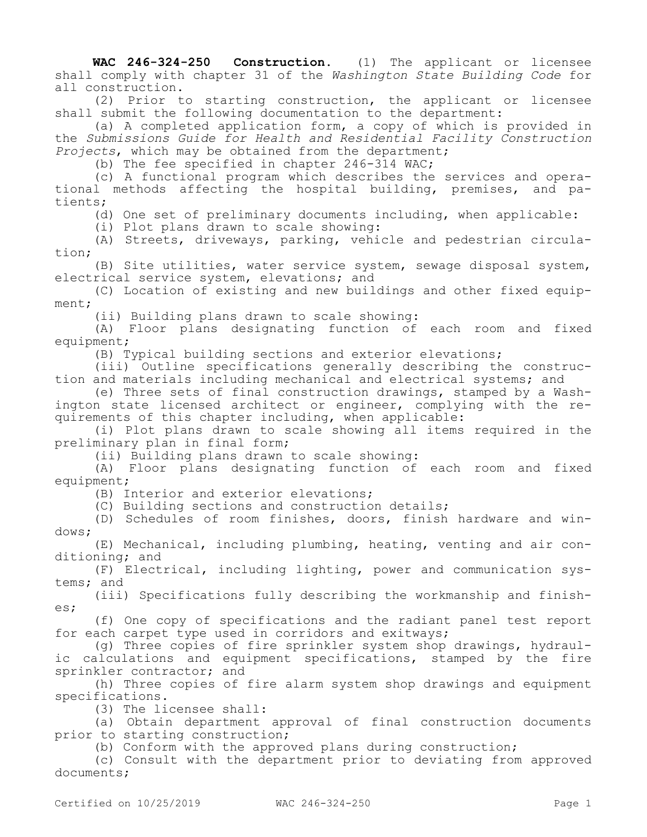**WAC 246-324-250 Construction.** (1) The applicant or licensee shall comply with chapter 31 of the *Washington State Building Code* for all construction.

(2) Prior to starting construction, the applicant or licensee shall submit the following documentation to the department:

(a) A completed application form, a copy of which is provided in the *Submissions Guide for Health and Residential Facility Construction Projects*, which may be obtained from the department;

(b) The fee specified in chapter 246-314 WAC;

(c) A functional program which describes the services and operational methods affecting the hospital building, premises, and patients;

(d) One set of preliminary documents including, when applicable:

(i) Plot plans drawn to scale showing:

(A) Streets, driveways, parking, vehicle and pedestrian circulation;

(B) Site utilities, water service system, sewage disposal system, electrical service system, elevations; and

(C) Location of existing and new buildings and other fixed equipment;

(ii) Building plans drawn to scale showing:

(A) Floor plans designating function of each room and fixed equipment;

(B) Typical building sections and exterior elevations;

(iii) Outline specifications generally describing the construction and materials including mechanical and electrical systems; and

(e) Three sets of final construction drawings, stamped by a Washington state licensed architect or engineer, complying with the requirements of this chapter including, when applicable:

(i) Plot plans drawn to scale showing all items required in the preliminary plan in final form;

(ii) Building plans drawn to scale showing:

(A) Floor plans designating function of each room and fixed equipment;

(B) Interior and exterior elevations;

(C) Building sections and construction details;

(D) Schedules of room finishes, doors, finish hardware and windows;

(E) Mechanical, including plumbing, heating, venting and air conditioning; and

(F) Electrical, including lighting, power and communication systems; and

(iii) Specifications fully describing the workmanship and finishes;

(f) One copy of specifications and the radiant panel test report for each carpet type used in corridors and exitways;

(g) Three copies of fire sprinkler system shop drawings, hydraulic calculations and equipment specifications, stamped by the fire sprinkler contractor; and

(h) Three copies of fire alarm system shop drawings and equipment specifications.

(3) The licensee shall:

(a) Obtain department approval of final construction documents prior to starting construction;

(b) Conform with the approved plans during construction;

(c) Consult with the department prior to deviating from approved documents;